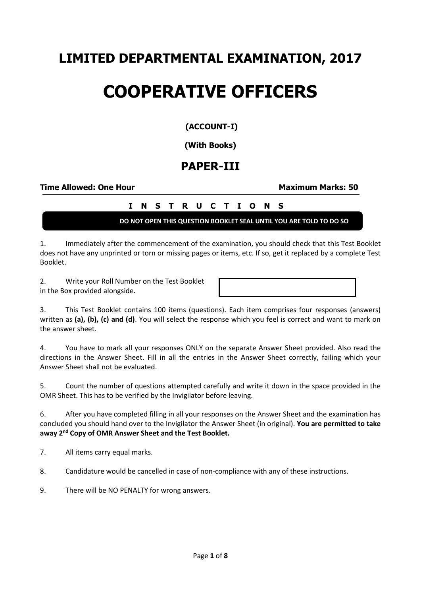## **LIMITED DEPARTMENTAL EXAMINATION, 2017**

# **COOPERATIVE OFFICERS**

### **(ACCOUNT-I)**

#### **(With Books)**

## **PAPER-III**

#### **Time Allowed: One Hour Maximum Marks: 50**

## **I N S T R U C T I O N S**

**DO NOT OPEN THIS QUESTION BOOKLET SEAL UNTIL YOU ARE TOLD TO DO SO**

1. Immediately after the commencement of the examination, you should check that this Test Booklet does not have any unprinted or torn or missing pages or items, etc. If so, get it replaced by a complete Test Booklet.

2. Write your Roll Number on the Test Booklet in the Box provided alongside.

3. This Test Booklet contains 100 items (questions). Each item comprises four responses (answers) written as **(a), (b), (c) and (d)**. You will select the response which you feel is correct and want to mark on the answer sheet.

4. You have to mark all your responses ONLY on the separate Answer Sheet provided. Also read the directions in the Answer Sheet. Fill in all the entries in the Answer Sheet correctly, failing which your Answer Sheet shall not be evaluated.

5. Count the number of questions attempted carefully and write it down in the space provided in the OMR Sheet. This has to be verified by the Invigilator before leaving.

6. After you have completed filling in all your responses on the Answer Sheet and the examination has concluded you should hand over to the Invigilator the Answer Sheet (in original). **You are permitted to take away 2nd Copy of OMR Answer Sheet and the Test Booklet.**

7. All items carry equal marks.

8. Candidature would be cancelled in case of non-compliance with any of these instructions.

9. There will be NO PENALTY for wrong answers.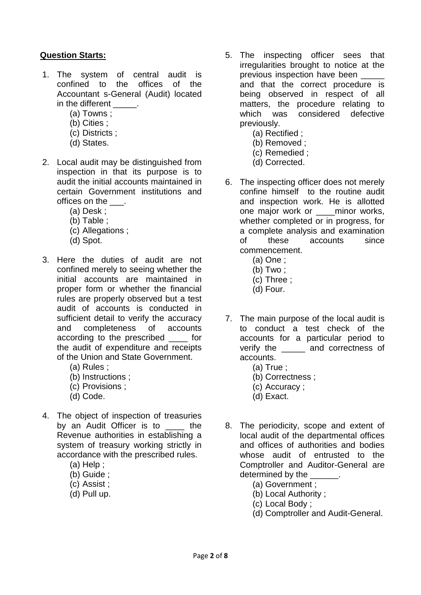#### **Question Starts:**

- 1. The system of central audit is confined to the offices of the Accountant s-General (Audit) located in the different \_\_\_\_\_.
	- (a) Towns ;
	- (b) Cities ;
	- (c) Districts ;
	- (d) States.
- 2. Local audit may be distinguished from inspection in that its purpose is to audit the initial accounts maintained in certain Government institutions and offices on the \_\_\_.
	- (a) Desk ;
	- (b) Table ;
	- (c) Allegations ;
	- (d) Spot.
- 3. Here the duties of audit are not confined merely to seeing whether the initial accounts are maintained in proper form or whether the financial rules are properly observed but a test audit of accounts is conducted in sufficient detail to verify the accuracy and completeness of accounts according to the prescribed \_\_\_\_ for the audit of expenditure and receipts of the Union and State Government.
	- (a) Rules ;
	- (b) Instructions ;
	- (c) Provisions ;
	- (d) Code.
- 4. The object of inspection of treasuries by an Audit Officer is to the Revenue authorities in establishing a system of treasury working strictly in accordance with the prescribed rules.
	- (a) Help ;
	- (b) Guide ;
	- (c) Assist ;
	- (d) Pull up.
- 5. The inspecting officer sees that irregularities brought to notice at the previous inspection have been and that the correct procedure is being observed in respect of all matters, the procedure relating to which was considered defective previously.
	- (a) Rectified ;
	- (b) Removed ;
	- (c) Remedied ;
	- (d) Corrected.
- 6. The inspecting officer does not merely confine himself to the routine audit and inspection work. He is allotted one major work or \_\_\_\_minor works, whether completed or in progress, for a complete analysis and examination of these accounts since commencement.
	- (a) One ;
	- (b) Two ;
	- (c) Three ;
	- (d) Four.
- 7. The main purpose of the local audit is to conduct a test check of the accounts for a particular period to verify the \_\_\_\_\_ and correctness of accounts.
	- (a) True ;
	- (b) Correctness ;
	- (c) Accuracy ;
	- (d) Exact.
- 8. The periodicity, scope and extent of local audit of the departmental offices and offices of authorities and bodies whose audit of entrusted to the Comptroller and Auditor-General are determined by the
	- (a) Government ;
	- (b) Local Authority ;
	- (c) Local Body ;
	- (d) Comptroller and Audit-General.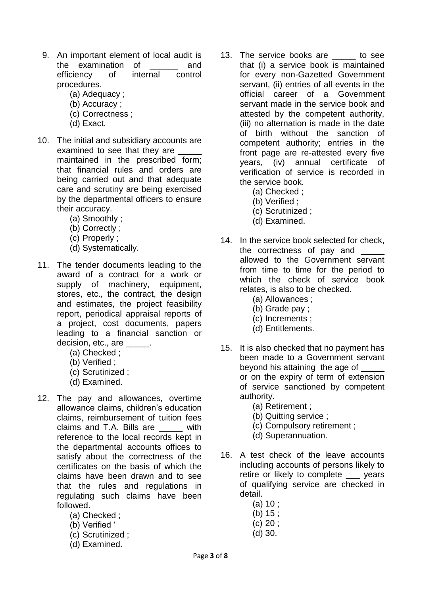- 9. An important element of local audit is the examination of \_\_\_\_\_\_ and efficiency of internal control procedures.
	- (a) Adequacy ;
	- (b) Accuracy ;
	- (c) Correctness ;
	- (d) Exact.
- 10. The initial and subsidiary accounts are examined to see that they are \_\_\_\_\_\_ maintained in the prescribed form; that financial rules and orders are being carried out and that adequate care and scrutiny are being exercised by the departmental officers to ensure their accuracy.
	- (a) Smoothly ;
	- (b) Correctly ;
	- (c) Properly ;
	- (d) Systematically.
- 11. The tender documents leading to the award of a contract for a work or supply of machinery, equipment, stores, etc., the contract, the design and estimates, the project feasibility report, periodical appraisal reports of a project, cost documents, papers leading to a financial sanction or decision, etc., are \_\_\_\_\_\_.
	- (a) Checked ;
	- (b) Verified ;
	- (c) Scrutinized ;
	- (d) Examined.
- 12. The pay and allowances, overtime allowance claims, children's education claims, reimbursement of tuition fees claims and T.A. Bills are \_\_\_\_\_ with reference to the local records kept in the departmental accounts offices to satisfy about the correctness of the certificates on the basis of which the claims have been drawn and to see that the rules and regulations in regulating such claims have been followed.
	- (a) Checked ;
	- (b) Verified '
	- (c) Scrutinized ;
	- (d) Examined.
- 13. The service books are \_\_\_\_\_ to see that (i) a service book is maintained for every non-Gazetted Government servant, (ii) entries of all events in the official career of a Government servant made in the service book and attested by the competent authority, (iii) no alternation is made in the date of birth without the sanction of competent authority; entries in the front page are re-attested every five years, (iv) annual certificate of verification of service is recorded in the service book.
	- (a) Checked ;
	- (b) Verified ;
	- (c) Scrutinized ;
	- (d) Examined.
- 14. In the service book selected for check, the correctness of pay and allowed to the Government servant from time to time for the period to which the check of service book relates, is also to be checked.
	- (a) Allowances ;
	- (b) Grade pay ;
	- (c) Increments ;
	- (d) Entitlements.
- 15. It is also checked that no payment has been made to a Government servant beyond his attaining the age of or on the expiry of term of extension of service sanctioned by competent authority.
	- (a) Retirement ;
	- (b) Quitting service ;
	- (c) Compulsory retirement ;
	- (d) Superannuation.
- 16. A test check of the leave accounts including accounts of persons likely to retire or likely to complete \_\_\_ years of qualifying service are checked in detail.
	- (a) 10 ;
	- (b) 15 ;
	- (c) 20 ;
	- (d) 30.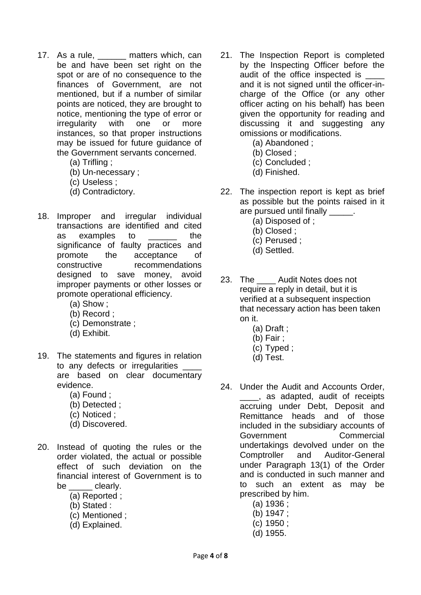- 17. As a rule, \_\_\_\_\_\_ matters which, can be and have been set right on the spot or are of no consequence to the finances of Government, are not mentioned, but if a number of similar points are noticed, they are brought to notice, mentioning the type of error or irregularity with one or more instances, so that proper instructions may be issued for future guidance of the Government servants concerned.
	- (a) Trifling ;
	- (b) Un-necessary ;
	- (c) Useless ;
	- (d) Contradictory.
- 18. Improper and irregular individual transactions are identified and cited as examples to the significance of faulty practices and promote the acceptance of constructive recommendations designed to save money, avoid improper payments or other losses or promote operational efficiency.
	- (a) Show ;
	- (b) Record ;
	- (c) Demonstrate ;
	- (d) Exhibit.
- 19. The statements and figures in relation to any defects or irregularities are based on clear documentary evidence.
	- (a) Found ;
	- (b) Detected ;
	- (c) Noticed ;
	- (d) Discovered.
- 20. Instead of quoting the rules or the order violated, the actual or possible effect of such deviation on the financial interest of Government is to be \_\_\_\_\_ clearly.
	- (a) Reported ;
	- (b) Stated :
	- (c) Mentioned ;
	- (d) Explained.
- 21. The Inspection Report is completed by the Inspecting Officer before the audit of the office inspected is and it is not signed until the officer-incharge of the Office (or any other officer acting on his behalf) has been given the opportunity for reading and discussing it and suggesting any omissions or modifications.
	- (a) Abandoned ;
	- (b) Closed ;
	- (c) Concluded ;
	- (d) Finished.
- 22. The inspection report is kept as brief as possible but the points raised in it are pursued until finally \_\_\_\_\_\_.
	- (a) Disposed of ;
	- (b) Closed ;
	- (c) Perused ;
	- (d) Settled.
- 23. The Audit Notes does not require a reply in detail, but it is verified at a subsequent inspection that necessary action has been taken on it.
	- (a) Draft ;
	- (b) Fair ;
	- (c) Typed ;
	- (d) Test.
- 24. Under the Audit and Accounts Order, \_\_\_\_, as adapted, audit of receipts accruing under Debt, Deposit and Remittance heads and of those included in the subsidiary accounts of Government Commercial undertakings devolved under on the Comptroller and Auditor-General under Paragraph 13(1) of the Order and is conducted in such manner and to such an extent as may be prescribed by him.
	- (a) 1936 ;
	- (b) 1947 ;
	- (c) 1950 ;
	- (d) 1955.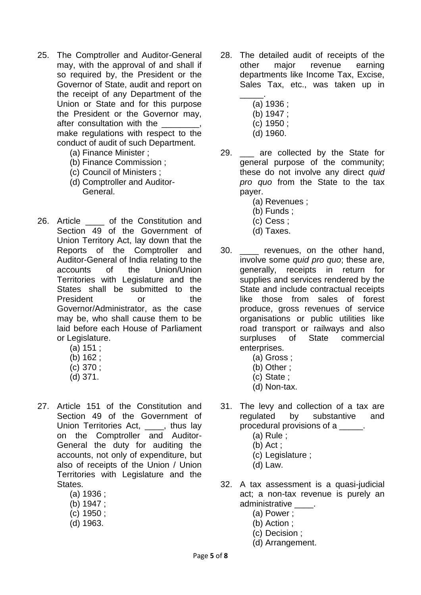- 25. The Comptroller and Auditor-General may, with the approval of and shall if so required by, the President or the Governor of State, audit and report on the receipt of any Department of the Union or State and for this purpose the President or the Governor may, after consultation with the make regulations with respect to the conduct of audit of such Department.
	- (a) Finance Minister ;
	- (b) Finance Commission ;
	- (c) Council of Ministers ;
	- (d) Comptroller and Auditor-General.
- 26. Article of the Constitution and Section 49 of the Government of Union Territory Act, lay down that the Reports of the Comptroller and Auditor-General of India relating to the accounts of the Union/Union Territories with Legislature and the States shall be submitted to the President or the Governor/Administrator, as the case may be, who shall cause them to be laid before each House of Parliament or Legislature.
	- (a) 151 ;
	- (b) 162 ;
	- (c) 370 ;
	- (d) 371.
- 27. Article 151 of the Constitution and Section 49 of the Government of Union Territories Act, \_\_\_\_, thus lay on the Comptroller and Auditor-General the duty for auditing the accounts, not only of expenditure, but also of receipts of the Union / Union Territories with Legislature and the States.
	- (a) 1936 ;
	- (b) 1947 ;
	- (c) 1950 ;
	- (d) 1963.
- 28. The detailed audit of receipts of the other major revenue earning departments like Income Tax, Excise, Sales Tax, etc., was taken up in
	- \_\_\_\_\_. (a) 1936 ;
		- (b) 1947 ;
		- (c) 1950 ;
		- (d) 1960.
- 29. \_\_\_ are collected by the State for general purpose of the community; these do not involve any direct *quid pro quo* from the State to the tax payer.
	- (a) Revenues ;
	- (b) Funds ;
	- (c) Cess ;
	- (d) Taxes.
- 30. \_\_\_\_ revenues, on the other hand, involve some *quid pro quo*; these are, generally, receipts in return for supplies and services rendered by the State and include contractual receipts like those from sales of forest produce, gross revenues of service organisations or public utilities like road transport or railways and also surpluses of State commercial enterprises.
	- (a) Gross ;
	- (b) Other ;
	- (c) State ;
	- (d) Non-tax.
- 31. The levy and collection of a tax are regulated by substantive and procedural provisions of a contact the procedural provisions of a
	- (a) Rule ;
	- (b) Act ;
	- (c) Legislature ;
	- (d) Law.
- 32. A tax assessment is a quasi-judicial act; a non-tax revenue is purely an administrative .
	- (a) Power ;
	- (b) Action ;
	- (c) Decision ;
	- (d) Arrangement.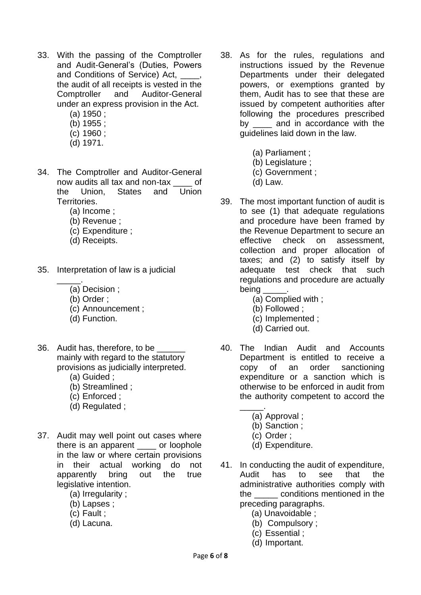- 33. With the passing of the Comptroller and Audit-General's (Duties, Powers and Conditions of Service) Act. the audit of all receipts is vested in the Comptroller and Auditor-General under an express provision in the Act.
	- (a) 1950 ;
	- (b) 1955 ;
	- (c) 1960 ;
	- (d) 1971.
- 34. The Comptroller and Auditor-General now audits all tax and non-tax \_\_\_\_ of the Union, States and Union Territories.
	- (a) Income ;
	- (b) Revenue ;
	- (c) Expenditure ;
	- (d) Receipts.
- 35. Interpretation of law is a judicial
	- \_\_\_\_\_. (a) Decision ;
		- (b) Order ;
		- (c) Announcement ;
		- (d) Function.
- 36. Audit has, therefore, to be \_\_\_\_\_\_ mainly with regard to the statutory provisions as judicially interpreted.
	- (a) Guided ;
	- (b) Streamlined ;
	- (c) Enforced ;
	- (d) Regulated ;
- 37. Audit may well point out cases where there is an apparent or loophole in the law or where certain provisions in their actual working do not apparently bring out the true legislative intention.
	- (a) Irregularity ;
	- (b) Lapses ;
	- (c) Fault ;
	- (d) Lacuna.
- 38. As for the rules, regulations and instructions issued by the Revenue Departments under their delegated powers, or exemptions granted by them, Audit has to see that these are issued by competent authorities after following the procedures prescribed by and in accordance with the guidelines laid down in the law.
	- (a) Parliament ;
	- (b) Legislature ;
	- (c) Government ;
	- (d) Law.
- 39. The most important function of audit is to see (1) that adequate regulations and procedure have been framed by the Revenue Department to secure an effective check on assessment collection and proper allocation of taxes; and (2) to satisfy itself by adequate test check that such regulations and procedure are actually being
	- (a) Complied with ;
	- (b) Followed ;
	- (c) Implemented ;
	- (d) Carried out.
- 40. The Indian Audit and Accounts Department is entitled to receive a copy of an order sanctioning expenditure or a sanction which is otherwise to be enforced in audit from the authority competent to accord the
	- \_\_\_\_\_. (a) Approval ;
		- (b) Sanction ;
		- (c) Order ;
		- (d) Expenditure.
- 41. In conducting the audit of expenditure, Audit has to see that the administrative authorities comply with the conditions mentioned in the preceding paragraphs.
	- (a) Unavoidable ;
	- (b) Compulsory ;
	- (c) Essential ;
	- (d) Important.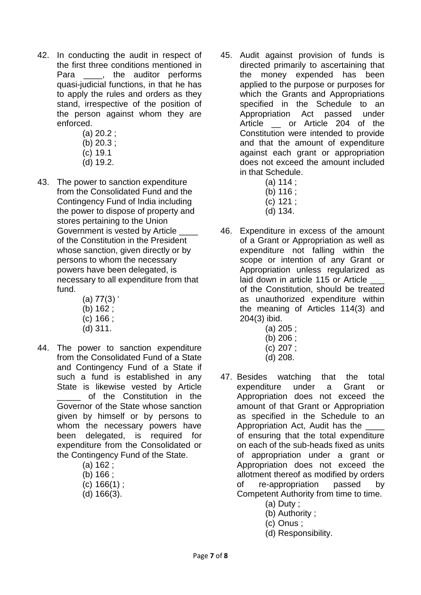- 42. In conducting the audit in respect of the first three conditions mentioned in Para  $\qquad$ , the auditor performs quasi-judicial functions, in that he has to apply the rules and orders as they stand, irrespective of the position of the person against whom they are enforced.
	- (a) 20.2 ;
	- (b) 20.3 ;
	- (c) 19.1
	- (d) 19.2.
- 43. The power to sanction expenditure from the Consolidated Fund and the Contingency Fund of India including the power to dispose of property and stores pertaining to the Union Government is vested by Article of the Constitution in the President whose sanction, given directly or by persons to whom the necessary powers have been delegated, is necessary to all expenditure from that fund.
	- $(a)$  77 $(3)'$
	- (b) 162 ;
	- (c) 166 ;
	- (d) 311.
- 44. The power to sanction expenditure from the Consolidated Fund of a State and Contingency Fund of a State if such a fund is established in any State is likewise vested by Article of the Constitution in the Governor of the State whose sanction given by himself or by persons to whom the necessary powers have been delegated, is required for expenditure from the Consolidated or the Contingency Fund of the State.
	- (a) 162 ;
	- (b) 166 ;
	- (c) 166(1) ;
	- (d) 166(3).
- 45. Audit against provision of funds is directed primarily to ascertaining that the money expended has been applied to the purpose or purposes for which the Grants and Appropriations specified in the Schedule to an Appropriation Act passed under Article or Article 204 of the Constitution were intended to provide and that the amount of expenditure against each grant or appropriation does not exceed the amount included in that Schedule.
	- (a) 114 ;
	- (b) 116 ;
	- (c) 121 ;
	- (d) 134.
- 46. Expenditure in excess of the amount of a Grant or Appropriation as well as expenditure not falling within the scope or intention of any Grant or Appropriation unless regularized as laid down in article 115 or Article of the Constitution, should be treated as unauthorized expenditure within the meaning of Articles 114(3) and 204(3) ibid.
	- (a) 205 ;
	- (b) 206 ;
	- (c) 207 ;
	- (d) 208.
- 47. Besides watching that the total expenditure under a Grant or Appropriation does not exceed the amount of that Grant or Appropriation as specified in the Schedule to an Appropriation Act, Audit has the of ensuring that the total expenditure on each of the sub-heads fixed as units of appropriation under a grant or Appropriation does not exceed the allotment thereof as modified by orders of re-appropriation passed by Competent Authority from time to time.
	- (a) Duty ;
	- (b) Authority ;
	- (c) Onus ;
	- (d) Responsibility.